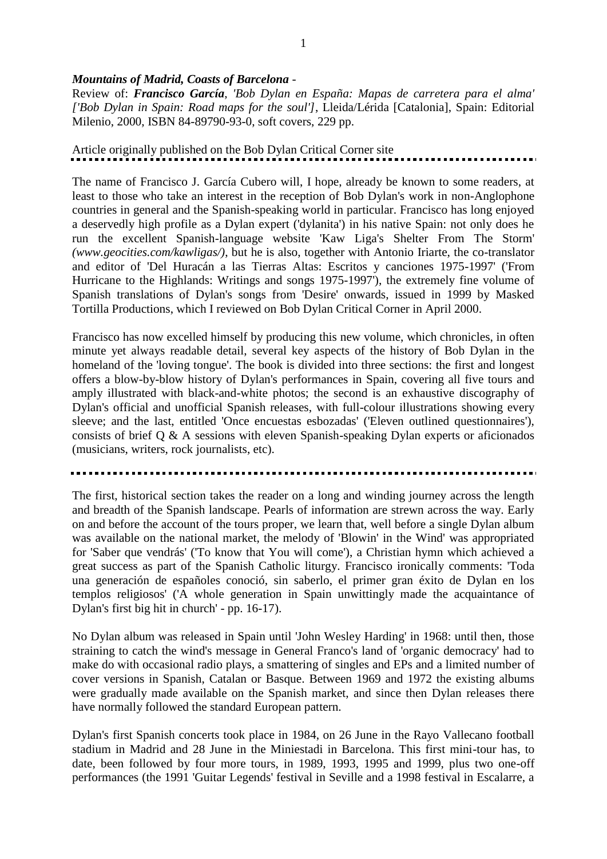## *Mountains of Madrid, Coasts of Barcelona* -

Review of: *Francisco García*, *'Bob Dylan en España: Mapas de carretera para el alma' ['Bob Dylan in Spain: Road maps for the soul']*, Lleida/Lérida [Catalonia], Spain: Editorial Milenio, 2000, ISBN 84-89790-93-0, soft covers, 229 pp.

# Article originally published on the Bob Dylan Critical Corner site

The name of Francisco J. García Cubero will, I hope, already be known to some readers, at least to those who take an interest in the reception of Bob Dylan's work in non-Anglophone countries in general and the Spanish-speaking world in particular. Francisco has long enjoyed a deservedly high profile as a Dylan expert ('dylanita') in his native Spain: not only does he run the excellent Spanish-language website 'Kaw Liga's Shelter From The Storm' *(www.geocities.com/kawligas/)*, but he is also, together with Antonio Iriarte, the co-translator and editor of 'Del Huracán a las Tierras Altas: Escritos y canciones 1975-1997' ('From Hurricane to the Highlands: Writings and songs 1975-1997'), the extremely fine volume of Spanish translations of Dylan's songs from 'Desire' onwards, issued in 1999 by Masked Tortilla Productions, which I reviewed on Bob Dylan Critical Corner in April 2000.

Francisco has now excelled himself by producing this new volume, which chronicles, in often minute yet always readable detail, several key aspects of the history of Bob Dylan in the homeland of the 'loving tongue'. The book is divided into three sections: the first and longest offers a blow-by-blow history of Dylan's performances in Spain, covering all five tours and amply illustrated with black-and-white photos; the second is an exhaustive discography of Dylan's official and unofficial Spanish releases, with full-colour illustrations showing every sleeve; and the last, entitled 'Once encuestas esbozadas' ('Eleven outlined questionnaires'), consists of brief Q & A sessions with eleven Spanish-speaking Dylan experts or aficionados (musicians, writers, rock journalists, etc).

The first, historical section takes the reader on a long and winding journey across the length and breadth of the Spanish landscape. Pearls of information are strewn across the way. Early on and before the account of the tours proper, we learn that, well before a single Dylan album was available on the national market, the melody of 'Blowin' in the Wind' was appropriated for 'Saber que vendrás' ('To know that You will come'), a Christian hymn which achieved a great success as part of the Spanish Catholic liturgy. Francisco ironically comments: 'Toda una generación de españoles conoció, sin saberlo, el primer gran éxito de Dylan en los templos religiosos' ('A whole generation in Spain unwittingly made the acquaintance of Dylan's first big hit in church' - pp. 16-17).

No Dylan album was released in Spain until 'John Wesley Harding' in 1968: until then, those straining to catch the wind's message in General Franco's land of 'organic democracy' had to make do with occasional radio plays, a smattering of singles and EPs and a limited number of cover versions in Spanish, Catalan or Basque. Between 1969 and 1972 the existing albums were gradually made available on the Spanish market, and since then Dylan releases there have normally followed the standard European pattern.

Dylan's first Spanish concerts took place in 1984, on 26 June in the Rayo Vallecano football stadium in Madrid and 28 June in the Miniestadi in Barcelona. This first mini-tour has, to date, been followed by four more tours, in 1989, 1993, 1995 and 1999, plus two one-off performances (the 1991 'Guitar Legends' festival in Seville and a 1998 festival in Escalarre, a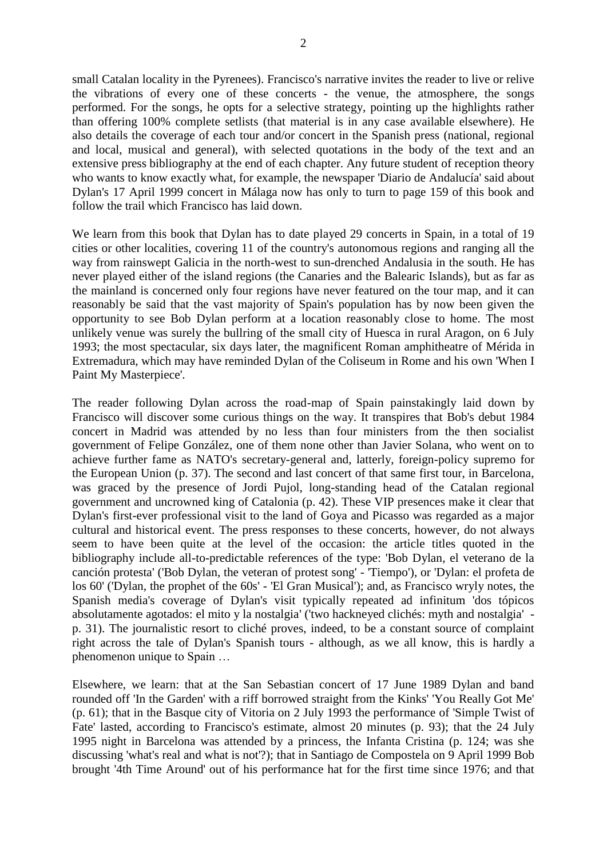small Catalan locality in the Pyrenees). Francisco's narrative invites the reader to live or relive the vibrations of every one of these concerts - the venue, the atmosphere, the songs performed. For the songs, he opts for a selective strategy, pointing up the highlights rather than offering 100% complete setlists (that material is in any case available elsewhere). He also details the coverage of each tour and/or concert in the Spanish press (national, regional and local, musical and general), with selected quotations in the body of the text and an extensive press bibliography at the end of each chapter. Any future student of reception theory who wants to know exactly what, for example, the newspaper 'Diario de Andalucía' said about Dylan's 17 April 1999 concert in Málaga now has only to turn to page 159 of this book and follow the trail which Francisco has laid down.

We learn from this book that Dylan has to date played 29 concerts in Spain, in a total of 19 cities or other localities, covering 11 of the country's autonomous regions and ranging all the way from rainswept Galicia in the north-west to sun-drenched Andalusia in the south. He has never played either of the island regions (the Canaries and the Balearic Islands), but as far as the mainland is concerned only four regions have never featured on the tour map, and it can reasonably be said that the vast majority of Spain's population has by now been given the opportunity to see Bob Dylan perform at a location reasonably close to home. The most unlikely venue was surely the bullring of the small city of Huesca in rural Aragon, on 6 July 1993; the most spectacular, six days later, the magnificent Roman amphitheatre of Mérida in Extremadura, which may have reminded Dylan of the Coliseum in Rome and his own 'When I Paint My Masterpiece'.

The reader following Dylan across the road-map of Spain painstakingly laid down by Francisco will discover some curious things on the way. It transpires that Bob's debut 1984 concert in Madrid was attended by no less than four ministers from the then socialist government of Felipe González, one of them none other than Javier Solana, who went on to achieve further fame as NATO's secretary-general and, latterly, foreign-policy supremo for the European Union (p. 37). The second and last concert of that same first tour, in Barcelona, was graced by the presence of Jordi Pujol, long-standing head of the Catalan regional government and uncrowned king of Catalonia (p. 42). These VIP presences make it clear that Dylan's first-ever professional visit to the land of Goya and Picasso was regarded as a major cultural and historical event. The press responses to these concerts, however, do not always seem to have been quite at the level of the occasion: the article titles quoted in the bibliography include all-to-predictable references of the type: 'Bob Dylan, el veterano de la canción protesta' ('Bob Dylan, the veteran of protest song' - 'Tiempo'), or 'Dylan: el profeta de los 60' ('Dylan, the prophet of the 60s' - 'El Gran Musical'); and, as Francisco wryly notes, the Spanish media's coverage of Dylan's visit typically repeated ad infinitum 'dos tópicos absolutamente agotados: el mito y la nostalgia' ('two hackneyed clichés: myth and nostalgia' p. 31). The journalistic resort to cliché proves, indeed, to be a constant source of complaint right across the tale of Dylan's Spanish tours - although, as we all know, this is hardly a phenomenon unique to Spain …

Elsewhere, we learn: that at the San Sebastian concert of 17 June 1989 Dylan and band rounded off 'In the Garden' with a riff borrowed straight from the Kinks' 'You Really Got Me' (p. 61); that in the Basque city of Vitoria on 2 July 1993 the performance of 'Simple Twist of Fate' lasted, according to Francisco's estimate, almost 20 minutes (p. 93); that the 24 July 1995 night in Barcelona was attended by a princess, the Infanta Cristina (p. 124; was she discussing 'what's real and what is not'?); that in Santiago de Compostela on 9 April 1999 Bob brought '4th Time Around' out of his performance hat for the first time since 1976; and that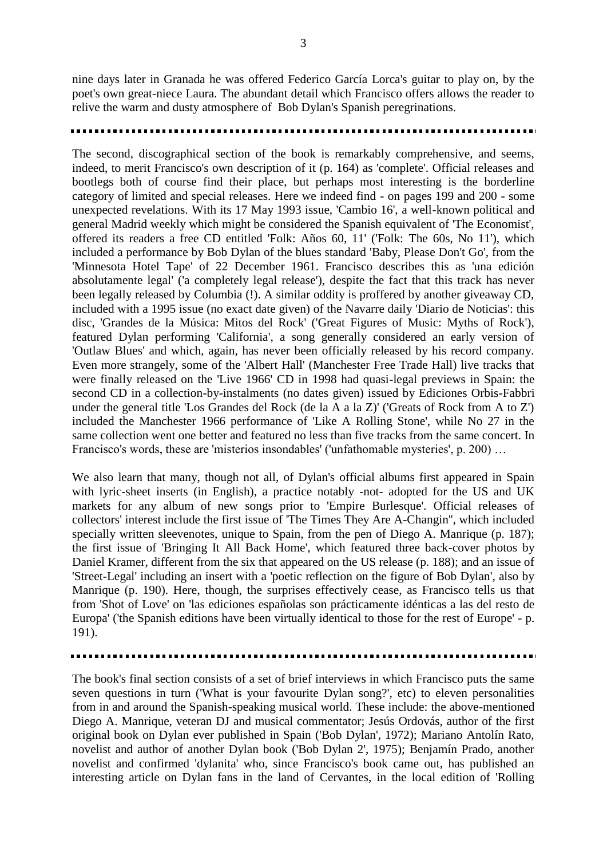nine days later in Granada he was offered Federico García Lorca's guitar to play on, by the poet's own great-niece Laura. The abundant detail which Francisco offers allows the reader to relive the warm and dusty atmosphere of Bob Dylan's Spanish peregrinations.

The second, discographical section of the book is remarkably comprehensive, and seems, indeed, to merit Francisco's own description of it (p. 164) as 'complete'. Official releases and bootlegs both of course find their place, but perhaps most interesting is the borderline category of limited and special releases. Here we indeed find - on pages 199 and 200 - some unexpected revelations. With its 17 May 1993 issue, 'Cambio 16', a well-known political and general Madrid weekly which might be considered the Spanish equivalent of 'The Economist', offered its readers a free CD entitled 'Folk: Años 60, 11' ('Folk: The 60s, No 11'), which included a performance by Bob Dylan of the blues standard 'Baby, Please Don't Go', from the 'Minnesota Hotel Tape' of 22 December 1961. Francisco describes this as 'una edición absolutamente legal' ('a completely legal release'), despite the fact that this track has never been legally released by Columbia (!). A similar oddity is proffered by another giveaway CD, included with a 1995 issue (no exact date given) of the Navarre daily 'Diario de Noticias': this disc, 'Grandes de la Música: Mitos del Rock' ('Great Figures of Music: Myths of Rock'), featured Dylan performing 'California', a song generally considered an early version of 'Outlaw Blues' and which, again, has never been officially released by his record company. Even more strangely, some of the 'Albert Hall' (Manchester Free Trade Hall) live tracks that were finally released on the 'Live 1966' CD in 1998 had quasi-legal previews in Spain: the second CD in a collection-by-instalments (no dates given) issued by Ediciones Orbis-Fabbri under the general title 'Los Grandes del Rock (de la A a la Z)' ('Greats of Rock from A to Z') included the Manchester 1966 performance of 'Like A Rolling Stone', while No 27 in the same collection went one better and featured no less than five tracks from the same concert. In Francisco's words, these are 'misterios insondables' ('unfathomable mysteries', p. 200) …

We also learn that many, though not all, of Dylan's official albums first appeared in Spain with lyric-sheet inserts (in English), a practice notably -not- adopted for the US and UK markets for any album of new songs prior to 'Empire Burlesque'. Official releases of collectors' interest include the first issue of 'The Times They Are A-Changin'', which included specially written sleevenotes, unique to Spain, from the pen of Diego A. Manrique (p. 187); the first issue of 'Bringing It All Back Home', which featured three back-cover photos by Daniel Kramer, different from the six that appeared on the US release (p. 188); and an issue of 'Street-Legal' including an insert with a 'poetic reflection on the figure of Bob Dylan', also by Manrique (p. 190). Here, though, the surprises effectively cease, as Francisco tells us that from 'Shot of Love' on 'las ediciones españolas son prácticamente idénticas a las del resto de Europa' ('the Spanish editions have been virtually identical to those for the rest of Europe' - p. 191).

The book's final section consists of a set of brief interviews in which Francisco puts the same seven questions in turn ('What is your favourite Dylan song?', etc) to eleven personalities from in and around the Spanish-speaking musical world. These include: the above-mentioned Diego A. Manrique, veteran DJ and musical commentator; Jesús Ordovás, author of the first original book on Dylan ever published in Spain ('Bob Dylan', 1972); Mariano Antolín Rato, novelist and author of another Dylan book ('Bob Dylan 2', 1975); Benjamín Prado, another novelist and confirmed 'dylanita' who, since Francisco's book came out, has published an interesting article on Dylan fans in the land of Cervantes, in the local edition of 'Rolling